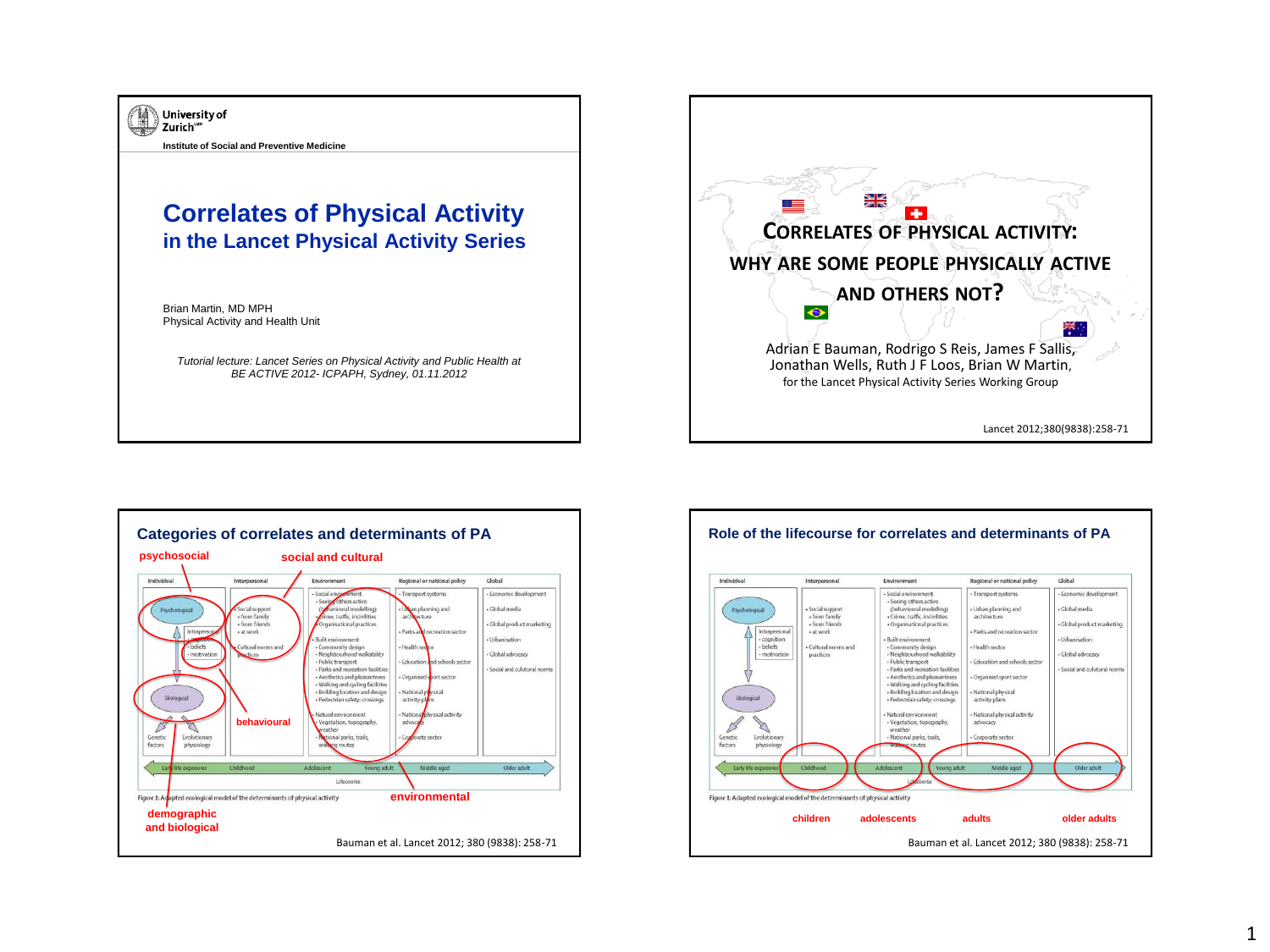





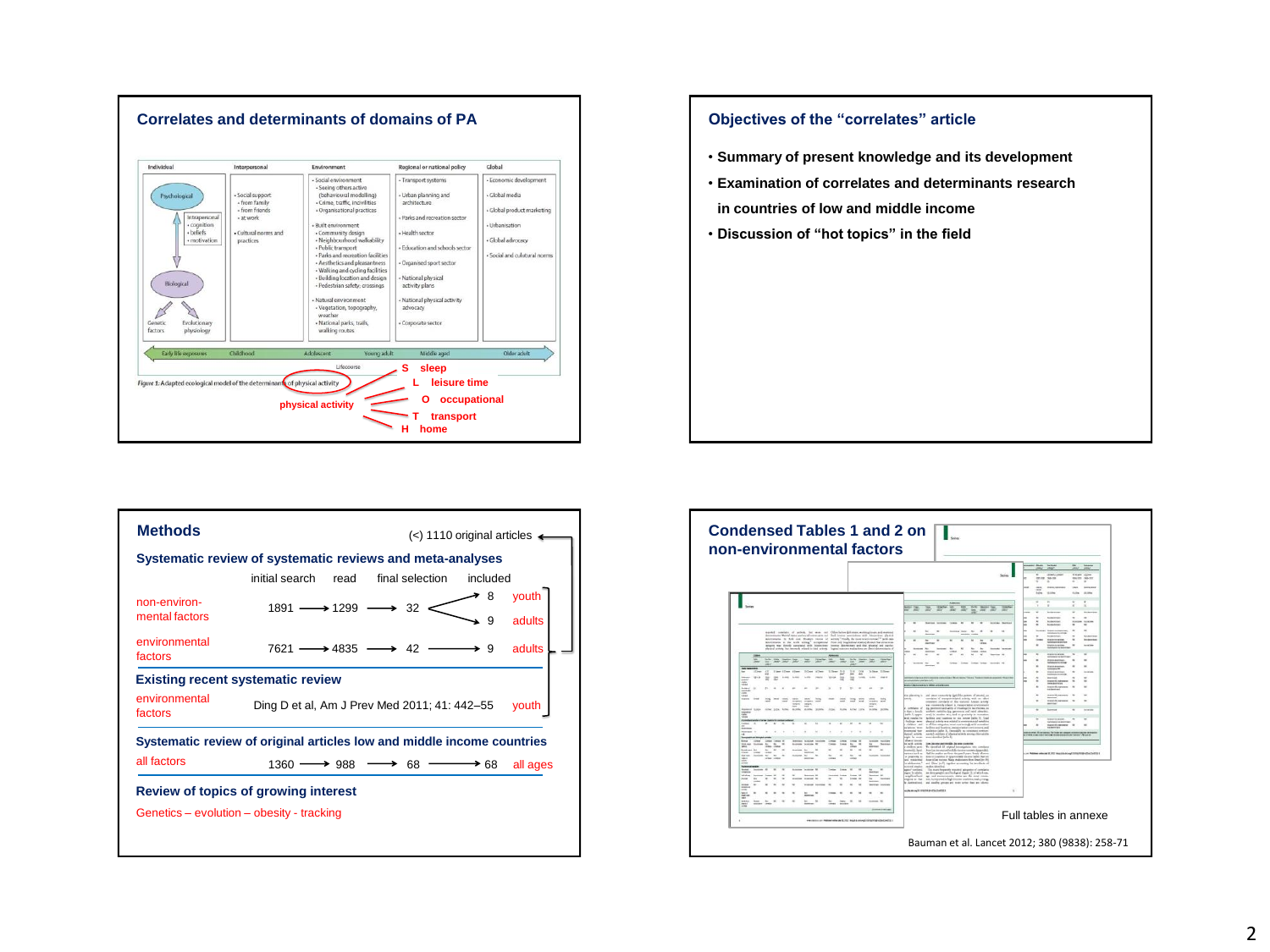

## **Objectives of the "correlates" article** • **Summary of present knowledge and its development** • **Examination of correlates and determinants research in countries of low and middle income** • **Discussion of "hot topics" in the field**

|                                | Systematic review of systematic reviews and meta-analyses              |                           |
|--------------------------------|------------------------------------------------------------------------|---------------------------|
|                                | initial search<br>final selection<br>read                              | included                  |
| non-environ-<br>mental factors | $1891 \longrightarrow 1299 \longrightarrow 32$                         | youth<br>8<br>9<br>adults |
| environmental<br>factors       | $7621 \longrightarrow 4835 \longrightarrow 42$                         | adults<br>→ 9             |
|                                | <b>Existing recent systematic review</b>                               |                           |
|                                |                                                                        |                           |
| environmental<br>factors       | Ding D et al, Am J Prev Med 2011; 41: 442-55                           | vouth                     |
|                                | Systematic review of original articles low and middle income countries |                           |